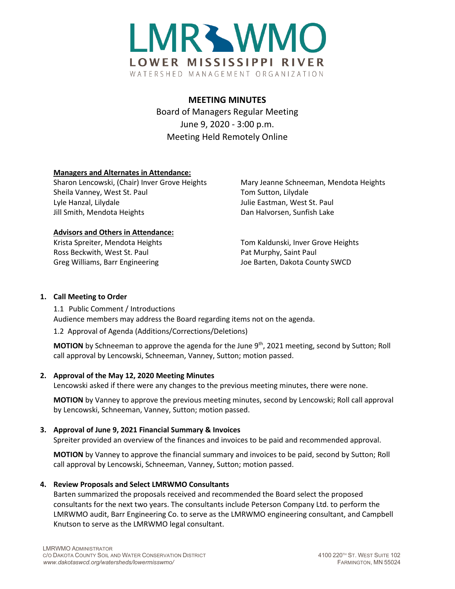

# **MEETING MINUTES**

Board of Managers Regular Meeting June 9, 2020 - 3:00 p.m. Meeting Held Remotely Online

## **Managers and Alternates in Attendance:**

Sharon Lencowski, (Chair) Inver Grove Heights Mary Jeanne Schneeman, Mendota Heights Sheila Vanney, West St. Paul Tom Sutton, Lilydale Lyle Hanzal, Lilydale Julie Eastman, West St. Paul Jill Smith, Mendota Heights **Dan Halvorsen, Sunfish Lake** 

#### **Advisors and Others in Attendance:**

Ross Beckwith, West St. Paul Paul Pat Murphy, Saint Paul

Krista Spreiter, Mendota Heights Tom Kaldunski, Inver Grove Heights Greg Williams, Barr Engineering The Matter of Barten, Dakota County SWCD

### **1. Call Meeting to Order**

1.1 Public Comment / Introductions Audience members may address the Board regarding items not on the agenda.

1.2 Approval of Agenda (Additions/Corrections/Deletions)

**MOTION** by Schneeman to approve the agenda for the June 9<sup>th</sup>, 2021 meeting, second by Sutton; Roll call approval by Lencowski, Schneeman, Vanney, Sutton; motion passed.

## **2. Approval of the May 12, 2020 Meeting Minutes**

Lencowski asked if there were any changes to the previous meeting minutes, there were none.

**MOTION** by Vanney to approve the previous meeting minutes, second by Lencowski; Roll call approval by Lencowski, Schneeman, Vanney, Sutton; motion passed.

## **3. Approval of June 9, 2021 Financial Summary & Invoices**

Spreiter provided an overview of the finances and invoices to be paid and recommended approval.

**MOTION** by Vanney to approve the financial summary and invoices to be paid, second by Sutton; Roll call approval by Lencowski, Schneeman, Vanney, Sutton; motion passed.

## **4. Review Proposals and Select LMRWMO Consultants**

Barten summarized the proposals received and recommended the Board select the proposed consultants for the next two years. The consultants include Peterson Company Ltd. to perform the LMRWMO audit, Barr Engineering Co. to serve as the LMRWMO engineering consultant, and Campbell Knutson to serve as the LMRWMO legal consultant.